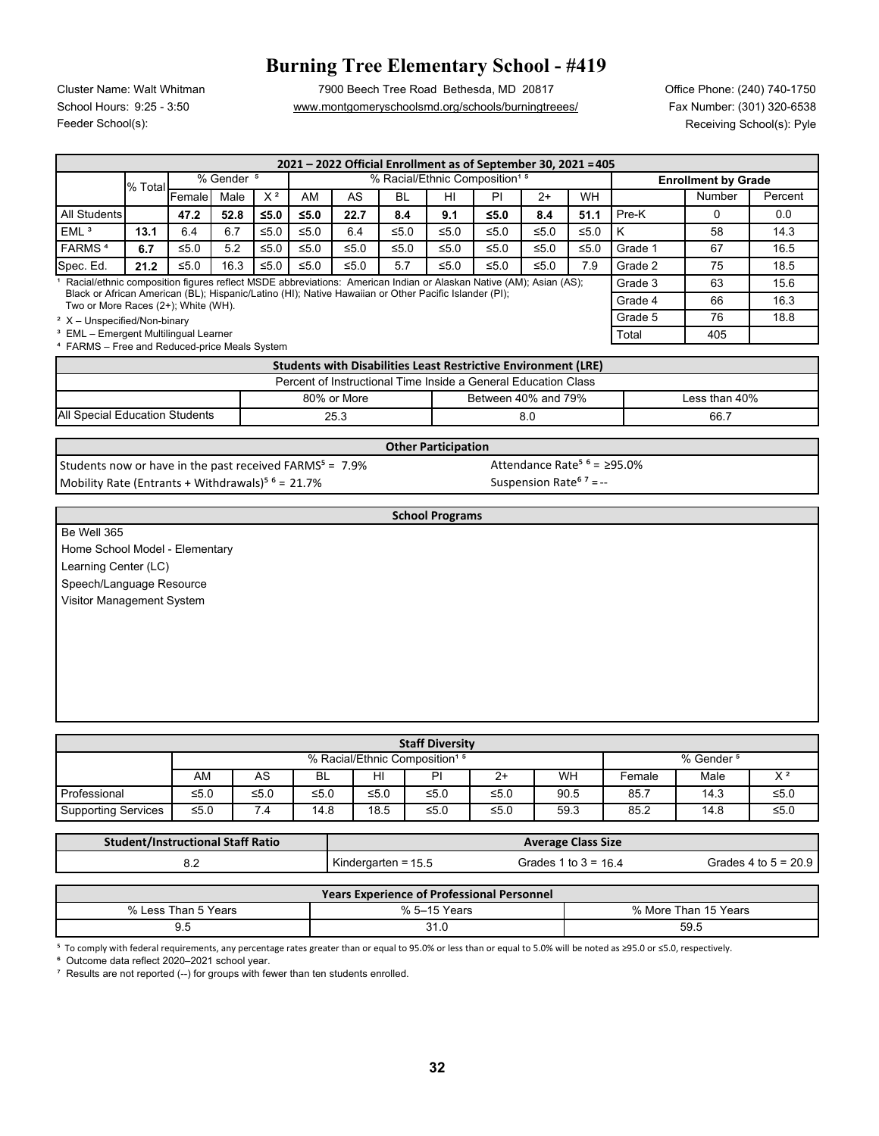## **Burning Tree Elementary School - #419**

Feeder School(s): Receiving School(s): Pyle

Cluster Name: Walt Whitman 7900 Beech Tree Road Bethesda, MD 20817 Office Phone: (240) 740-1750 School Hours: 9:25 - 3:50 www.montgomeryschoolsmd.org/schools/burningtreees/ Fax Number: (301) 320-6538

| 2021 - 2022 Official Enrollment as of September 30, 2021 = 405                                                                               |                                  |              |      |                                           |              |        |                |                      |              |         |              |                            |              |                      |  |  |
|----------------------------------------------------------------------------------------------------------------------------------------------|----------------------------------|--------------|------|-------------------------------------------|--------------|--------|----------------|----------------------|--------------|---------|--------------|----------------------------|--------------|----------------------|--|--|
|                                                                                                                                              | % Gender <sup>5</sup><br>% Total |              |      | % Racial/Ethnic Composition <sup>15</sup> |              |        |                |                      |              |         |              | <b>Enrollment by Grade</b> |              |                      |  |  |
|                                                                                                                                              |                                  | Female       | Male | $X^2$                                     | AM           | AS     | <b>BL</b>      | H <sub>II</sub>      | P            | $2+$    | <b>WH</b>    |                            | Number       | Percent              |  |  |
| <b>All Students</b>                                                                                                                          |                                  | 47.2         | 52.8 | $≤5.0$                                    | $≤5.0$       | 22.7   | 8.4            | 9.1                  | $≤5.0$       | 8.4     | 51.1         | Pre-K                      | $\Omega$     | 0.0                  |  |  |
| EML <sup>3</sup>                                                                                                                             | 13.1                             | 6.4          | 6.7  | $≤5.0$                                    | $≤5.0$       | 6.4    | $≤5.0$         | $≤5.0$               | $≤5.0$       | $≤5.0$  | $≤5.0$       | K                          | 58           | 14.3                 |  |  |
| <b>FARMS<sup>4</sup></b>                                                                                                                     | 6.7                              | ≤5.0         | 5.2  | ≤5.0                                      | ≤5.0         | ≤5.0   | $≤5.0$         | $≤5.0$               | $≤5.0$       | $≤5.0$  | $≤5.0$       | Grade 1                    | 67           | 16.5                 |  |  |
| Spec. Ed.                                                                                                                                    | 21.2                             | ≤5.0         | 16.3 | ≤5.0                                      | $≤5.0$       | $≤5.0$ | 5.7            | $≤5.0$               | $≤5.0$       | ≤5.0    | 7.9          | Grade 2                    | 75           | 18.5                 |  |  |
| Racial/ethnic composition figures reflect MSDE abbreviations: American Indian or Alaskan Native (AM); Asian (AS);                            |                                  |              |      |                                           |              |        |                |                      |              |         |              | Grade 3                    | 63           | 15.6                 |  |  |
| Black or African American (BL); Hispanic/Latino (HI); Native Hawaiian or Other Pacific Islander (PI);<br>Two or More Races (2+); White (WH). |                                  |              |      |                                           |              |        |                |                      |              |         | Grade 4      | 66                         | 16.3         |                      |  |  |
| <sup>2</sup> X - Unspecified/Non-binary                                                                                                      |                                  |              |      |                                           |              |        |                |                      |              | Grade 5 | 76           | 18.8                       |              |                      |  |  |
| <sup>3</sup> EML - Emergent Multilingual Learner                                                                                             |                                  |              |      |                                           |              |        |                |                      |              |         |              | Total                      | 405          |                      |  |  |
| <sup>4</sup> FARMS - Free and Reduced-price Meals System                                                                                     |                                  |              |      |                                           |              |        |                |                      |              |         |              |                            |              |                      |  |  |
| <b>Students with Disabilities Least Restrictive Environment (LRE)</b>                                                                        |                                  |              |      |                                           |              |        |                |                      |              |         |              |                            |              |                      |  |  |
| Percent of Instructional Time Inside a General Education Class<br>80% or More<br>Between 40% and 79%                                         |                                  |              |      |                                           |              |        |                |                      |              |         |              |                            |              |                      |  |  |
|                                                                                                                                              |                                  |              |      |                                           |              |        |                |                      |              |         |              | Less than 40%              |              |                      |  |  |
| <b>All Special Education Students</b>                                                                                                        |                                  |              |      |                                           |              | 25.3   |                |                      |              | 8.0     |              |                            | 66.7         |                      |  |  |
| <b>Other Participation</b>                                                                                                                   |                                  |              |      |                                           |              |        |                |                      |              |         |              |                            |              |                      |  |  |
| Attendance Rate <sup>5 6</sup> = $\geq$ 95.0%<br>Students now or have in the past received FARMS <sup>5</sup> = 7.9%                         |                                  |              |      |                                           |              |        |                |                      |              |         |              |                            |              |                      |  |  |
| Suspension Rate <sup>67</sup> = --<br>Mobility Rate (Entrants + Withdrawals) <sup>5 6</sup> = 21.7%                                          |                                  |              |      |                                           |              |        |                |                      |              |         |              |                            |              |                      |  |  |
|                                                                                                                                              |                                  |              |      |                                           |              |        |                |                      |              |         |              |                            |              |                      |  |  |
| <b>School Programs</b>                                                                                                                       |                                  |              |      |                                           |              |        |                |                      |              |         |              |                            |              |                      |  |  |
| Be Well 365                                                                                                                                  |                                  |              |      |                                           |              |        |                |                      |              |         |              |                            |              |                      |  |  |
| Home School Model - Elementary                                                                                                               |                                  |              |      |                                           |              |        |                |                      |              |         |              |                            |              |                      |  |  |
| Learning Center (LC)                                                                                                                         |                                  |              |      |                                           |              |        |                |                      |              |         |              |                            |              |                      |  |  |
| Speech/Language Resource                                                                                                                     |                                  |              |      |                                           |              |        |                |                      |              |         |              |                            |              |                      |  |  |
| Visitor Management System                                                                                                                    |                                  |              |      |                                           |              |        |                |                      |              |         |              |                            |              |                      |  |  |
|                                                                                                                                              |                                  |              |      |                                           |              |        |                |                      |              |         |              |                            |              |                      |  |  |
|                                                                                                                                              |                                  |              |      |                                           |              |        |                |                      |              |         |              |                            |              |                      |  |  |
|                                                                                                                                              |                                  |              |      |                                           |              |        |                |                      |              |         |              |                            |              |                      |  |  |
|                                                                                                                                              |                                  |              |      |                                           |              |        |                |                      |              |         |              |                            |              |                      |  |  |
|                                                                                                                                              |                                  |              |      |                                           |              |        |                |                      |              |         |              |                            |              |                      |  |  |
|                                                                                                                                              |                                  |              |      |                                           |              |        |                |                      |              |         |              |                            |              |                      |  |  |
|                                                                                                                                              |                                  |              |      |                                           |              |        |                |                      |              |         |              |                            |              |                      |  |  |
| <b>Staff Diversity</b>                                                                                                                       |                                  |              |      |                                           |              |        |                |                      |              |         |              |                            |              |                      |  |  |
| % Racial/Ethnic Composition <sup>15</sup><br>% Gender <sup>5</sup>                                                                           |                                  |              |      |                                           |              |        |                |                      |              |         |              |                            |              |                      |  |  |
|                                                                                                                                              |                                  |              |      |                                           |              |        |                |                      |              |         |              |                            |              |                      |  |  |
|                                                                                                                                              |                                  |              |      |                                           |              |        |                |                      |              |         |              |                            |              |                      |  |  |
|                                                                                                                                              |                                  | AM           |      | AS                                        | <b>BL</b>    |        | HI             | P <sub>1</sub>       | $2+$         |         | WH           | Female                     | Male         | $X^2$                |  |  |
| Professional<br><b>Supporting Services</b>                                                                                                   |                                  | ≤5.0<br>≤5.0 |      | ≤5.0<br>7.4                               | ≤5.0<br>14.8 |        | $≤5.0$<br>18.5 | $\leq 5.0$<br>$≤5.0$ | ≤5.0<br>≤5.0 |         | 90.5<br>59.3 | 85.7<br>85.2               | 14.3<br>14.8 | $\leq 5.0$<br>$≤5.0$ |  |  |

| <b>Student/Instructional Staff Ratio</b> | <b>Average Class Size</b> |                        |                        |  |  |  |  |
|------------------------------------------|---------------------------|------------------------|------------------------|--|--|--|--|
| o.z                                      | Kindergarten = $15.5$     | Grades 1 to $3 = 16.4$ | Grades 4 to $5 = 20.9$ |  |  |  |  |
|                                          |                           |                        |                        |  |  |  |  |

| <b>Years Experience of Professional Personnel</b> |              |                      |  |  |  |  |  |  |
|---------------------------------------------------|--------------|----------------------|--|--|--|--|--|--|
| % Less Than 5 Years                               | % 5–15 Years | % More Than 15 Years |  |  |  |  |  |  |
| 9.5                                               | 31.0         | 59.5                 |  |  |  |  |  |  |

⁵ To comply with federal requirements, any percentage rates greater than or equal to 95.0% or less than or equal to 5.0% will be noted as ≥95.0 or ≤5.0, respectively.

⁶ Outcome data reflect 2020–2021 school year.

<sup>7</sup> Results are not reported (--) for groups with fewer than ten students enrolled.